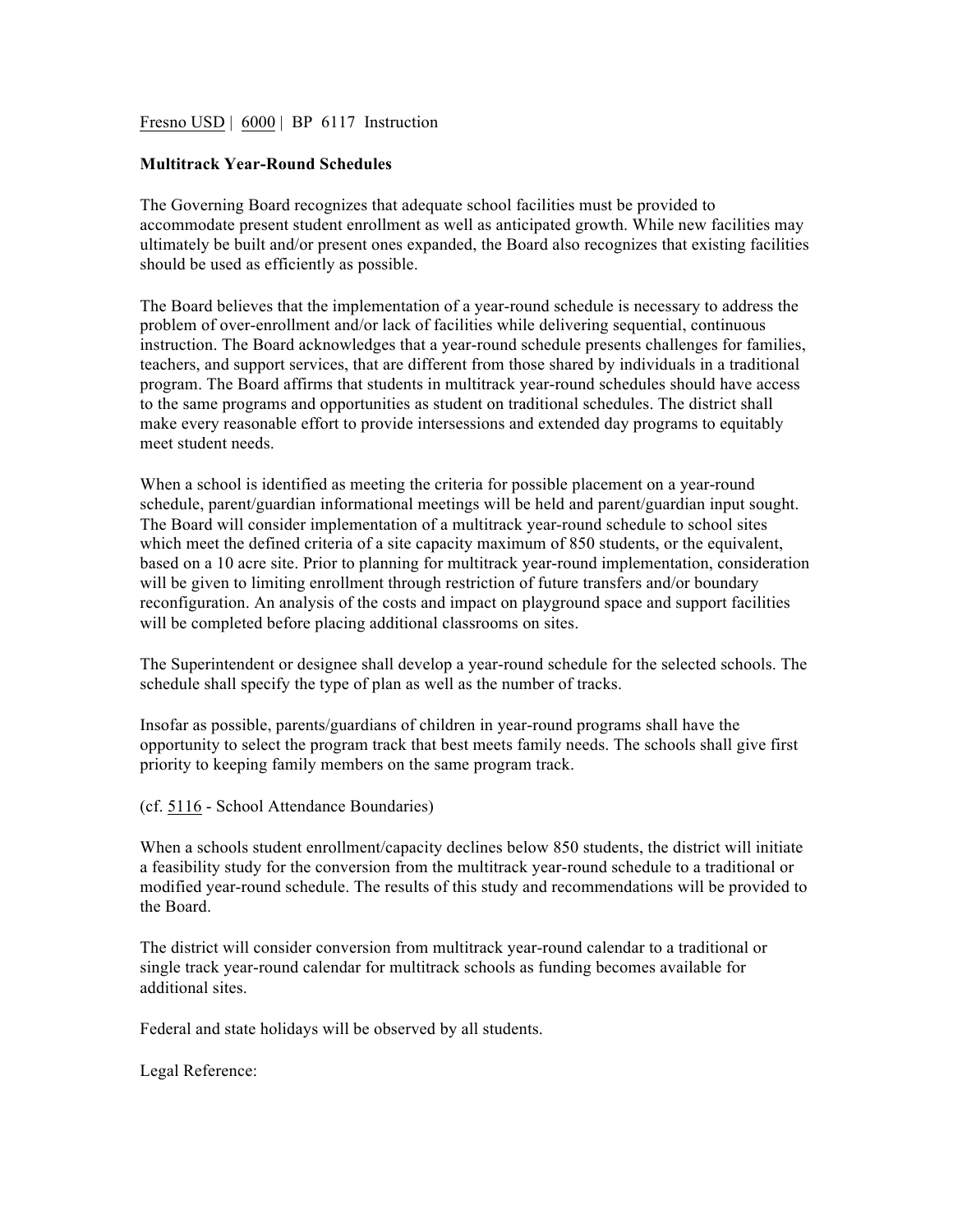Fresno USD | 6000 | BP 6117 Instruction

## **Multitrack Year-Round Schedules**

The Governing Board recognizes that adequate school facilities must be provided to accommodate present student enrollment as well as anticipated growth. While new facilities may ultimately be built and/or present ones expanded, the Board also recognizes that existing facilities should be used as efficiently as possible.

The Board believes that the implementation of a year-round schedule is necessary to address the problem of over-enrollment and/or lack of facilities while delivering sequential, continuous instruction. The Board acknowledges that a year-round schedule presents challenges for families, teachers, and support services, that are different from those shared by individuals in a traditional program. The Board affirms that students in multitrack year-round schedules should have access to the same programs and opportunities as student on traditional schedules. The district shall make every reasonable effort to provide intersessions and extended day programs to equitably meet student needs.

When a school is identified as meeting the criteria for possible placement on a year-round schedule, parent/guardian informational meetings will be held and parent/guardian input sought. The Board will consider implementation of a multitrack year-round schedule to school sites which meet the defined criteria of a site capacity maximum of 850 students, or the equivalent, based on a 10 acre site. Prior to planning for multitrack year-round implementation, consideration will be given to limiting enrollment through restriction of future transfers and/or boundary reconfiguration. An analysis of the costs and impact on playground space and support facilities will be completed before placing additional classrooms on sites.

The Superintendent or designee shall develop a year-round schedule for the selected schools. The schedule shall specify the type of plan as well as the number of tracks.

Insofar as possible, parents/guardians of children in year-round programs shall have the opportunity to select the program track that best meets family needs. The schools shall give first priority to keeping family members on the same program track.

(cf. 5116 - School Attendance Boundaries)

When a schools student enrollment/capacity declines below 850 students, the district will initiate a feasibility study for the conversion from the multitrack year-round schedule to a traditional or modified year-round schedule. The results of this study and recommendations will be provided to the Board.

The district will consider conversion from multitrack year-round calendar to a traditional or single track year-round calendar for multitrack schools as funding becomes available for additional sites.

Federal and state holidays will be observed by all students.

Legal Reference: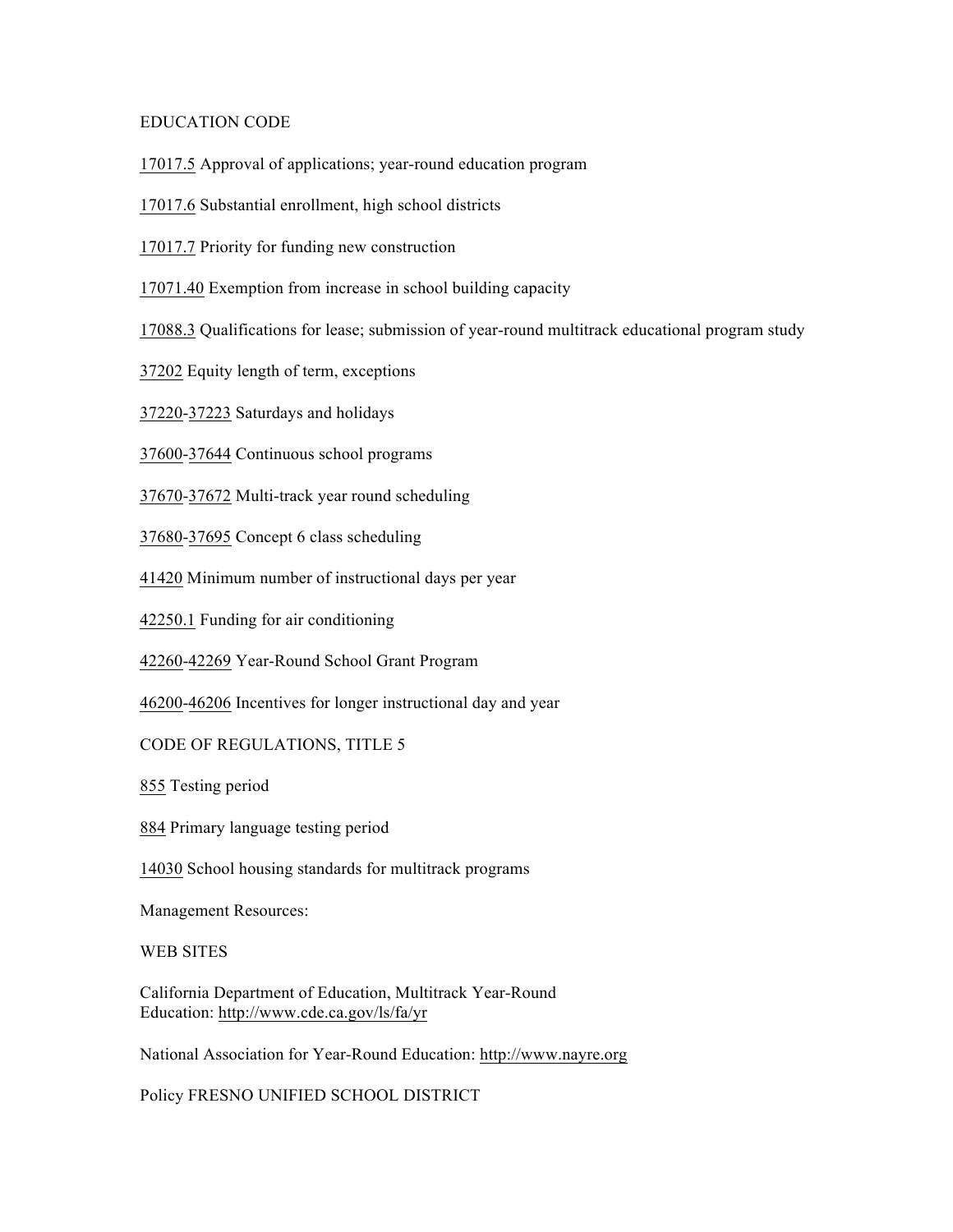## EDUCATION CODE

17017.5 Approval of applications; year-round education program

17017.6 Substantial enrollment, high school districts

17017.7 Priority for funding new construction

17071.40 Exemption from increase in school building capacity

17088.3 Qualifications for lease; submission of year-round multitrack educational program study

37202 Equity length of term, exceptions

37220-37223 Saturdays and holidays

37600-37644 Continuous school programs

37670-37672 Multi-track year round scheduling

37680-37695 Concept 6 class scheduling

41420 Minimum number of instructional days per year

42250.1 Funding for air conditioning

42260-42269 Year-Round School Grant Program

46200-46206 Incentives for longer instructional day and year

CODE OF REGULATIONS, TITLE 5

855 Testing period

884 Primary language testing period

14030 School housing standards for multitrack programs

Management Resources:

WEB SITES

California Department of Education, Multitrack Year-Round Education: http://www.cde.ca.gov/ls/fa/yr

National Association for Year-Round Education: http://www.nayre.org

Policy FRESNO UNIFIED SCHOOL DISTRICT